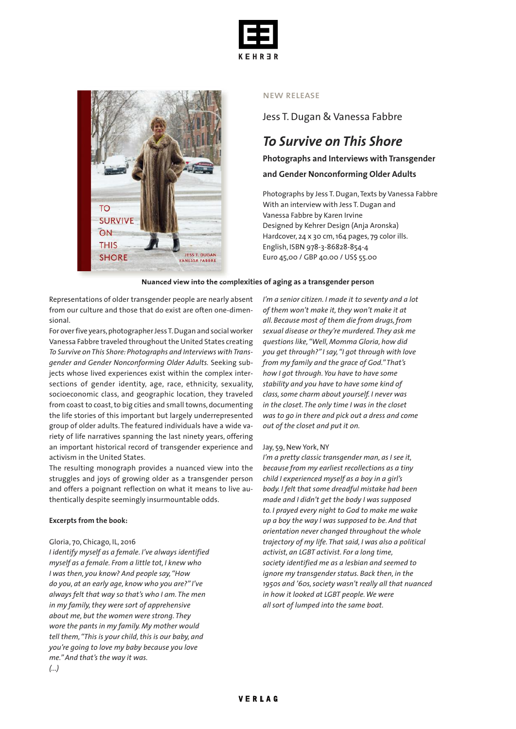



#### new release

Jess T.Dugan & Vanessa Fabbre

## *To Survive on This Shore*

**Photographs and Interviews with Transgender**

#### **and Gender Nonconforming Older Adults**

Photographs by Jess T. Dugan, Texts by Vanessa Fabbre With an interview with Jess T.Dugan and Vanessa Fabbre by Karen Irvine Designed by Kehrer Design (Anja Aronska) Hardcover, 24 x 30 cm,164 pages, 79 color ills. English, ISBN 978-3-86828-854-4 Euro 45,00 / GBP 40.00 / US\$ 55.00

#### **Nuanced view into the complexities of aging as a transgender person**

Representations of older transgender people are nearly absent from our culture and those that do exist are often one-dimensional.

For over five years, photographer Jess T. Dugan and social worker Vanessa Fabbre traveled throughout the United States creating *To Survive onThis Shore: Photographs and Interviews withTransgender and Gender Nonconforming Older Adults.* Seeking subjects whose lived experiences exist within the complex intersections of gender identity, age, race, ethnicity, sexuality, socioeconomic class, and geographic location, they traveled from coast to coast, to big cities and small towns, documenting the life stories of this important but largely underrepresented group of older adults. The featured individuals have a wide variety of life narratives spanning the last ninety years, offering an important historical record of transgender experience and activism in the United States.

The resulting monograph provides a nuanced view into the struggles and joys of growing older as a transgender person and offers a poignant reflection on what it means to live authentically despite seemingly insurmountable odds.

#### **Excerpts from the book:**

#### Gloria, 70, Chicago, IL, 2016

*I identify myself as a female. I've always identified myself as a female. From a little tot, I knew who I was then, you know? And people say,"How do you, at an early age, know who you are?" I've always felt that way so that's who I am. The men in my family,they were sort of apprehensive about me, but the women were strong. They wore the pants in my family. My mother would tell them,"This is your child,this is our baby, and you're going to love my baby because you love me."And that's the way it was.*

*I'm a senior citizen. I made it to seventy and a lot of them won't make it,they won't make it at all. Because most of them die from drugs,from sexual disease or they're murdered. They ask me questions like,"Well, Momma Gloria, how did you get through?" I say,"I got through with love from my family and the grace of God."That's how I got through. You have to have some stability and you have to have some kind of class,some charm about yourself. I never was in the closet. The only time I was in the closet was to go in there and pick out a dress and come out of the closet and put it on.*

#### Jay, 59, New York, NY

*I'm a pretty classic transgender man, as I see it, because from my earliest recollections as a tiny child I experienced myself as a boy in a girl's body. I felt that some dreadful mistake had been made and I didn't get the body I was supposed to. I prayed every night to God to make me wake up a boy the way I was supposed to be. And that orientation never changed throughout the whole trajectory of my life. That said, I was also a political activist, an LGBT activist. For a long time, society identified me as a lesbian and seemed to ignore my transgender status. Back then, in the 1950s and '60s,society wasn't really all that nuanced in how it looked at LGBT people.We were all sort of lumped into the same boat.*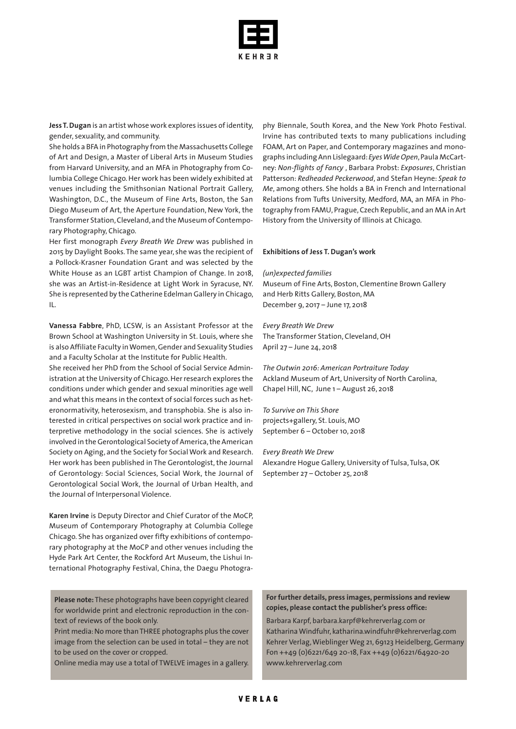

**Jess T.Dugan** is an artist whose work explores issues ofidentity, gender, sexuality, and community.

She holds a BFA in Photography from the Massachusetts College of Art and Design, a Master of Liberal Arts in Museum Studies from Harvard University, and an MFA in Photography from Columbia College Chicago.Her work has been widely exhibited at venues including the Smithsonian National Portrait Gallery, Washington, D.C., the Museum of Fine Arts, Boston, the San Diego Museum of Art, the Aperture Foundation, New York, the Transformer Station,Cleveland,and the Museum of Contemporary Photography, Chicago.

Her first monograph *Every Breath We Drew* was published in 2015 by Daylight Books.The same year, she was the recipient of a Pollock-Krasner Foundation Grant and was selected by the White House as an LGBT artist Champion of Change. In 2018, she was an Artist-in-Residence at Light Work in Syracuse, NY. She is represented by the Catherine Edelman Gallery in Chicago, IL.

**Vanessa Fabbre**, PhD, LCSW, is an Assistant Professor at the Brown School at Washington University in St. Louis, where she is also Affiliate Faculty inWomen,Gender and Sexuality Studies and a Faculty Scholar at the Institute for Public Health.

She received her PhD from the School of Social Service Administration at the University of Chicago. Her research explores the conditions under which gender and sexual minorities age well and what this means in the context of social forces such as heteronormativity, heterosexism, and transphobia. She is also interested in critical perspectives on social work practice and interpretive methodology in the social sciences. She is actively involved in the Gerontological Society of America, the American Society on Aging, and the Society for Social Work and Research. Her work has been published in The Gerontologist, the Journal of Gerontology: Social Sciences, Social Work, the Journal of Gerontological Social Work, the Journal of Urban Health, and the Journal of Interpersonal Violence.

**Karen Irvine** is Deputy Director and Chief Curator of the MoCP, Museum of Contemporary Photography at Columbia College Chicago. She has organized over fifty exhibitions of contemporary photography at the MoCP and other venues including the Hyde Park Art Center, the Rockford Art Museum, the Lishui International Photography Festival, China, the Daegu Photogra-

**Please note:** These photographs have been copyright cleared for worldwide print and electronic reproduction in the context of reviews of the book only.

Print media: No more than THREE photographs plus the cover image from the selection can be used in total – they are not to be used on the cover or cropped.

Online media may use a total of TWELVE images in a gallery.

phy Biennale, South Korea, and the New York Photo Festival. Irvine has contributed texts to many publications including FOAM, Art on Paper, and Contemporary magazines and monographs including Ann Lislegaard:*EyesWideOpen*,Paula McCartney: *Non-flights of Fancy* , Barbara Probst: *Exposures*, Christian Patterson: *Redheaded Peckerwood*, and Stefan Heyne: *Speak to Me*, among others. She holds a BA in French and International Relations from Tufts University, Medford, MA, an MFA in Photography from FAMU, Prague,Czech Republic, and an MA in Art History from the University of Illinois at Chicago.

#### **Exhibitions of Jess T. Dugan's work**

*(un)expected families* Museum of Fine Arts, Boston, Clementine Brown Gallery and Herb Ritts Gallery, Boston, MA December 9, 2017 – June 17, 2018

*Every Breath We Drew* The Transformer Station, Cleveland, OH April 27 – June 24, 2018

*The Outwin 2016: American Portraiture Today* Ackland Museum of Art, University of North Carolina, Chapel Hill, NC, June 1 – August 26, 2018

*To Survive on This Shore* projects+gallery, St. Louis, MO September 6 – October 10, 2018

*Every Breath We Drew* Alexandre Hogue Gallery, University of Tulsa, Tulsa, OK September 27 – October 25, 2018

#### **For further details, press images, permissions and review copies, please contact the publisher's press office:**

Barbara Karpf, barbara.karpf@kehrerverlag.com or Katharina Windfuhr, katharina.windfuhr@kehrerverlag.com Kehrer Verlag,Wieblinger Weg 21, 69123 Heidelberg,Germany Fon ++49 (0)6221/649 20-18, Fax ++49 (0)6221/64920-20 www.kehrerverlag.com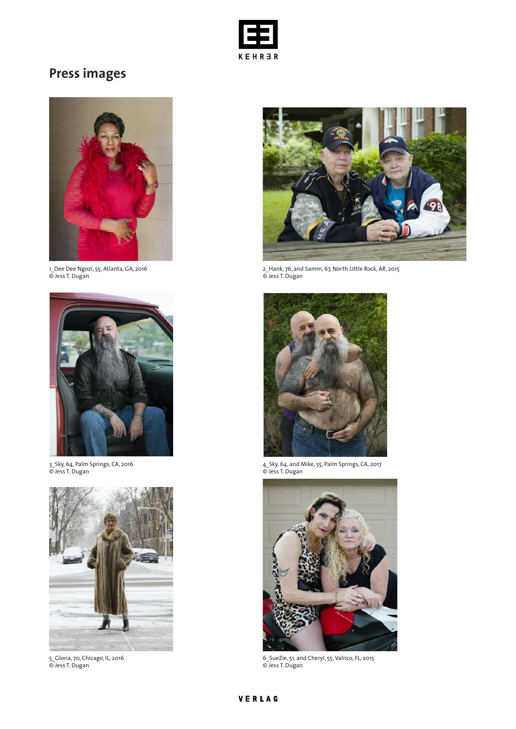

# **Press images**



1\_Dee Dee Ngozi, 55, Atlanta,GA, 2016 © Jess T. Dugan



3\_Sky, 64, Palm Springs, CA, 2016 © Jess T. Dugan



5\_Gloria, 70, Chicago, IL, 2016 © Jess T. Dugan



2\_Hank, 76, and Samm, 67, North Little Rock, AR, 2015 © Jess T. Dugan



4\_Sky, 64, and Mike, 55, Palm Springs, CA, 2017 © Jess T. Dugan



6\_SueZie, 51, and Cheryl, 55,Valrico, FL, 2015 © Jess T. Dugan

## VERLAG